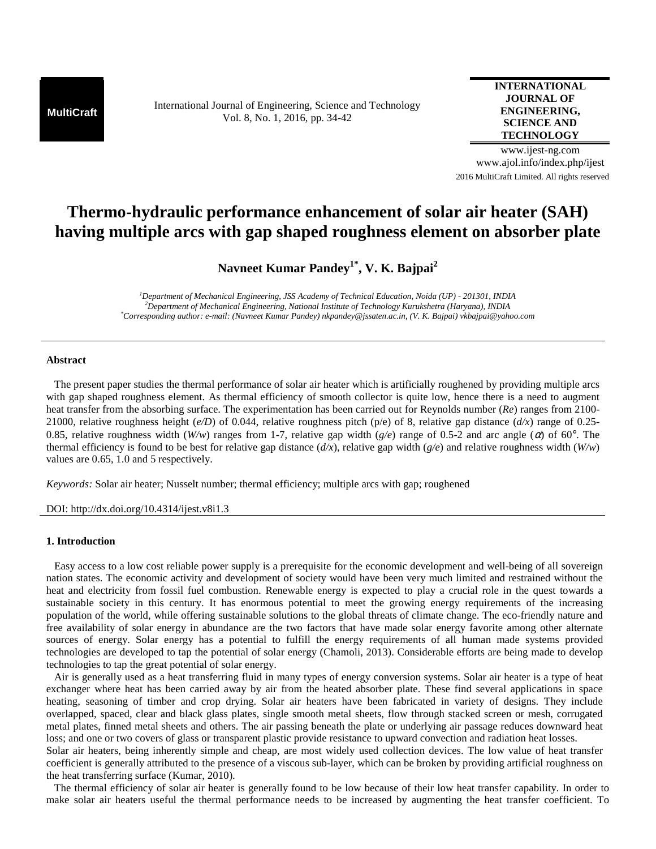**MultiCraft** International Journal of Engineering, Science and Technology Vol. 8, No. 1, 2016, pp. 34-42

# **INTERNATIONAL JOURNAL OF ENGINEERING, SCIENCE AND TECHNOLOGY**

www.ijest-ng.com www.ajol.info/index.php/ijest 2016 MultiCraft Limited. All rights reserved

# **Thermo-hydraulic performance enhancement of solar air heater (SAH) having multiple arcs with gap shaped roughness element on absorber plate**

**Navneet Kumar Pandey1\*, V. K. Bajpai<sup>2</sup>**

*<sup>1</sup>Department of Mechanical Engineering, JSS Academy of Technical Education, Noida (UP) - 201301, INDIA <sup>2</sup>Department of Mechanical Engineering, National Institute of Technology Kurukshetra (Haryana), INDIA \*Corresponding author: e-mail: (Navneet Kumar Pandey) nkpandey@jssaten.ac.in, (V. K. Bajpai) vkbajpai@yahoo.com* 

## **Abstract**

 The present paper studies the thermal performance of solar air heater which is artificially roughened by providing multiple arcs with gap shaped roughness element. As thermal efficiency of smooth collector is quite low, hence there is a need to augment heat transfer from the absorbing surface. The experimentation has been carried out for Reynolds number (*Re*) ranges from 2100- 21000, relative roughness height (*e/D*) of 0.044, relative roughness pitch (p/e) of 8, relative gap distance (*d/x*) range of 0.25- 0.85, relative roughness width (*W/w*) ranges from 1-7, relative gap width (*g/e*) range of 0.5-2 and arc angle (α) of 60°. The thermal efficiency is found to be best for relative gap distance (*d/x*), relative gap width (*g/e*) and relative roughness width (*W/w*) values are 0.65, 1.0 and 5 respectively.

*Keywords:* Solar air heater; Nusselt number; thermal efficiency; multiple arcs with gap; roughened

DOI: http://dx.doi.org/10.4314/ijest.v8i1.3

# **1. Introduction**

 Easy access to a low cost reliable power supply is a prerequisite for the economic development and well-being of all sovereign nation states. The economic activity and development of society would have been very much limited and restrained without the heat and electricity from fossil fuel combustion. Renewable energy is expected to play a crucial role in the quest towards a sustainable society in this century. It has enormous potential to meet the growing energy requirements of the increasing population of the world, while offering sustainable solutions to the global threats of climate change. The eco-friendly nature and free availability of solar energy in abundance are the two factors that have made solar energy favorite among other alternate sources of energy. Solar energy has a potential to fulfill the energy requirements of all human made systems provided technologies are developed to tap the potential of solar energy (Chamoli, 2013). Considerable efforts are being made to develop technologies to tap the great potential of solar energy.

 Air is generally used as a heat transferring fluid in many types of energy conversion systems. Solar air heater is a type of heat exchanger where heat has been carried away by air from the heated absorber plate. These find several applications in space heating, seasoning of timber and crop drying. Solar air heaters have been fabricated in variety of designs. They include overlapped, spaced, clear and black glass plates, single smooth metal sheets, flow through stacked screen or mesh, corrugated metal plates, finned metal sheets and others. The air passing beneath the plate or underlying air passage reduces downward heat loss; and one or two covers of glass or transparent plastic provide resistance to upward convection and radiation heat losses.

Solar air heaters, being inherently simple and cheap, are most widely used collection devices. The low value of heat transfer coefficient is generally attributed to the presence of a viscous sub-layer, which can be broken by providing artificial roughness on the heat transferring surface (Kumar, 2010).

 The thermal efficiency of solar air heater is generally found to be low because of their low heat transfer capability. In order to make solar air heaters useful the thermal performance needs to be increased by augmenting the heat transfer coefficient. To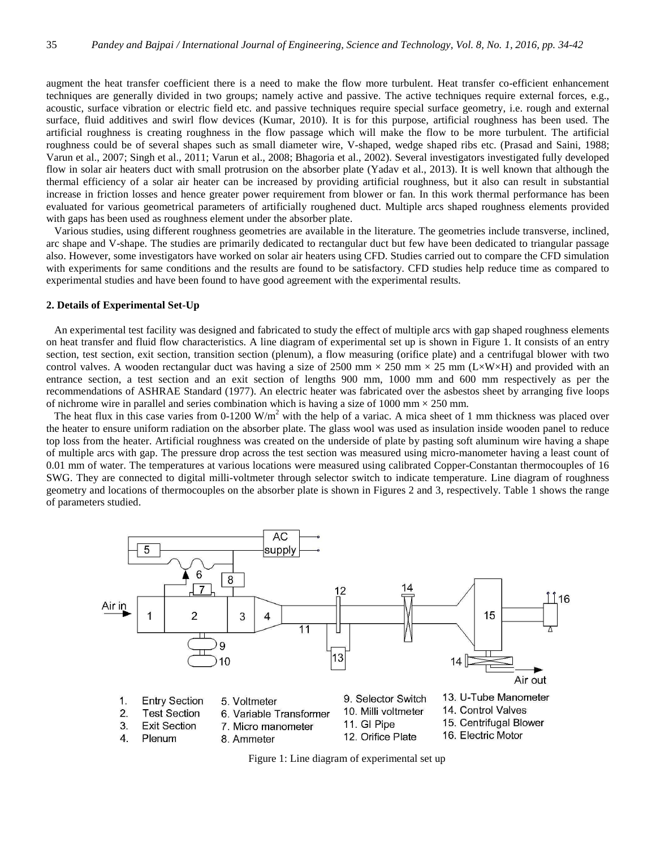augment the heat transfer coefficient there is a need to make the flow more turbulent. Heat transfer co-efficient enhancement techniques are generally divided in two groups; namely active and passive. The active techniques require external forces, e.g., acoustic, surface vibration or electric field etc. and passive techniques require special surface geometry, i.e. rough and external surface, fluid additives and swirl flow devices (Kumar, 2010). It is for this purpose, artificial roughness has been used. The artificial roughness is creating roughness in the flow passage which will make the flow to be more turbulent. The artificial roughness could be of several shapes such as small diameter wire, V-shaped, wedge shaped ribs etc. (Prasad and Saini, 1988; Varun et al., 2007; Singh et al., 2011; Varun et al., 2008; Bhagoria et al., 2002). Several investigators investigated fully developed flow in solar air heaters duct with small protrusion on the absorber plate (Yadav et al., 2013). It is well known that although the thermal efficiency of a solar air heater can be increased by providing artificial roughness, but it also can result in substantial increase in friction losses and hence greater power requirement from blower or fan. In this work thermal performance has been evaluated for various geometrical parameters of artificially roughened duct. Multiple arcs shaped roughness elements provided with gaps has been used as roughness element under the absorber plate.

 Various studies, using different roughness geometries are available in the literature. The geometries include transverse, inclined, arc shape and V-shape. The studies are primarily dedicated to rectangular duct but few have been dedicated to triangular passage also. However, some investigators have worked on solar air heaters using CFD. Studies carried out to compare the CFD simulation with experiments for same conditions and the results are found to be satisfactory. CFD studies help reduce time as compared to experimental studies and have been found to have good agreement with the experimental results.

#### **2. Details of Experimental Set-Up**

 An experimental test facility was designed and fabricated to study the effect of multiple arcs with gap shaped roughness elements on heat transfer and fluid flow characteristics. A line diagram of experimental set up is shown in Figure 1. It consists of an entry section, test section, exit section, transition section (plenum), a flow measuring (orifice plate) and a centrifugal blower with two control valves. A wooden rectangular duct was having a size of 2500 mm  $\times$  250 mm  $\times$  25 mm (L $\times$ W $\times$ H) and provided with an entrance section, a test section and an exit section of lengths 900 mm, 1000 mm and 600 mm respectively as per the recommendations of ASHRAE Standard (1977). An electric heater was fabricated over the asbestos sheet by arranging five loops of nichrome wire in parallel and series combination which is having a size of  $1000 \text{ mm} \times 250 \text{ mm}$ .

The heat flux in this case varies from  $0-1200 \text{ W/m}^2$  with the help of a variac. A mica sheet of 1 mm thickness was placed over the heater to ensure uniform radiation on the absorber plate. The glass wool was used as insulation inside wooden panel to reduce top loss from the heater. Artificial roughness was created on the underside of plate by pasting soft aluminum wire having a shape of multiple arcs with gap. The pressure drop across the test section was measured using micro-manometer having a least count of 0.01 mm of water. The temperatures at various locations were measured using calibrated Copper-Constantan thermocouples of 16 SWG. They are connected to digital milli-voltmeter through selector switch to indicate temperature. Line diagram of roughness geometry and locations of thermocouples on the absorber plate is shown in Figures 2 and 3, respectively. Table 1 shows the range of parameters studied.



Figure 1: Line diagram of experimental set up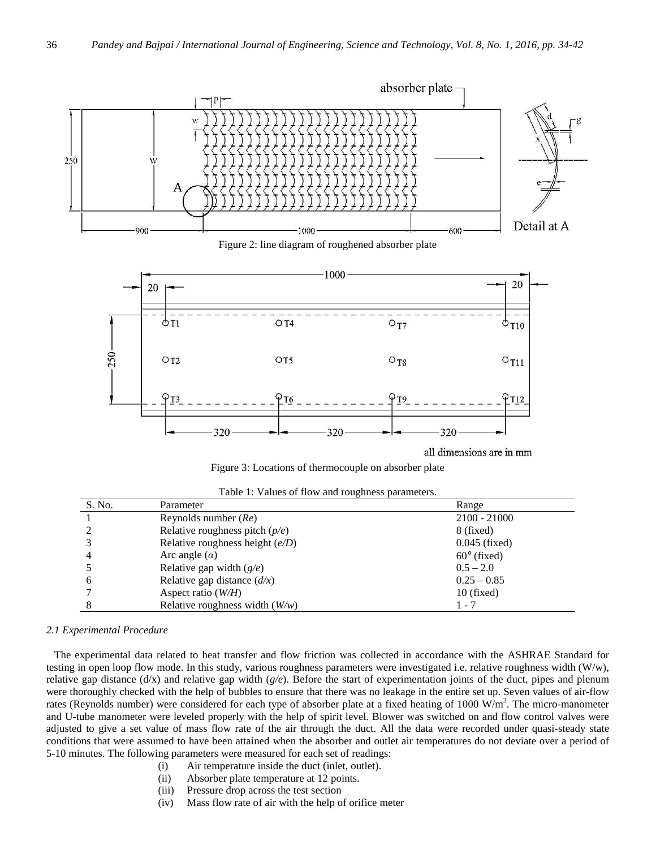



all dimensions are in mm

Figure 3: Locations of thermocouple on absorber plate

|  |  |  | Table 1: Values of flow and roughness parameters. |  |
|--|--|--|---------------------------------------------------|--|
|  |  |  |                                                   |  |

| S. No. | Parameter                                        | Range              |
|--------|--------------------------------------------------|--------------------|
|        | Reynolds number $(Re)$                           | $2100 - 21000$     |
|        | Relative roughness pitch $(p/e)$                 | 8 (fixed)          |
|        | Relative roughness height $(e/D)$                | $0.045$ (fixed)    |
|        | Arc angle $(\alpha)$                             | $60^\circ$ (fixed) |
|        | Relative gap width $(g/e)$                       | $0.5 - 2.0$        |
| b      | Relative gap distance $\left(\frac{d}{x}\right)$ | $0.25 - 0.85$      |
|        | Aspect ratio $(W/H)$                             | $10$ (fixed)       |
|        | Relative roughness width $(W/w)$                 | 1 - 7              |

# *2.1 Experimental Procedure*

 The experimental data related to heat transfer and flow friction was collected in accordance with the ASHRAE Standard for testing in open loop flow mode. In this study, various roughness parameters were investigated i.e. relative roughness width (W/w), relative gap distance (d/x) and relative gap width (*g/e*). Before the start of experimentation joints of the duct, pipes and plenum were thoroughly checked with the help of bubbles to ensure that there was no leakage in the entire set up. Seven values of air-flow rates (Reynolds number) were considered for each type of absorber plate at a fixed heating of 1000  $W/m<sup>2</sup>$ . The micro-manometer and U-tube manometer were leveled properly with the help of spirit level. Blower was switched on and flow control valves were adjusted to give a set value of mass flow rate of the air through the duct. All the data were recorded under quasi-steady state conditions that were assumed to have been attained when the absorber and outlet air temperatures do not deviate over a period of 5-10 minutes. The following parameters were measured for each set of readings:

- (i) Air temperature inside the duct (inlet, outlet).
- (ii) Absorber plate temperature at 12 points.
- (iii) Pressure drop across the test section
- (iv) Mass flow rate of air with the help of orifice meter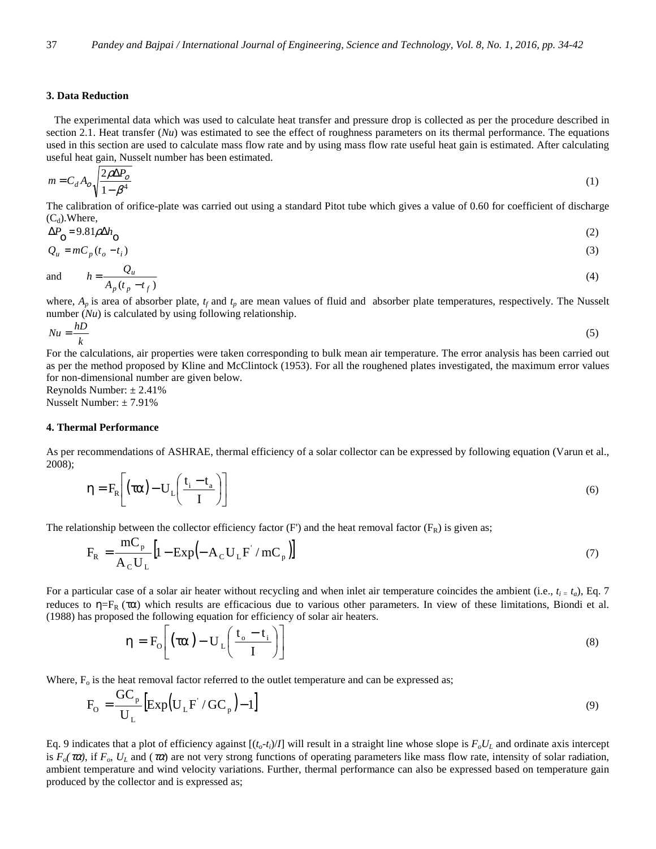## **3. Data Reduction**

 The experimental data which was used to calculate heat transfer and pressure drop is collected as per the procedure described in section 2.1. Heat transfer (*Nu*) was estimated to see the effect of roughness parameters on its thermal performance. The equations used in this section are used to calculate mass flow rate and by using mass flow rate useful heat gain is estimated. After calculating useful heat gain, Nusselt number has been estimated.

$$
m = C_d A_o \sqrt{\frac{2\rho \Delta P_o}{1 - \beta^4}}
$$
 (1)

The calibration of orifice-plate was carried out using a standard Pitot tube which gives a value of 0.60 for coefficient of discharge  $(C_d)$ . Where,

$$
\Delta P_{\rm O} = 9.81 \rho \Delta h_{\rm O} \tag{2}
$$

$$
Q_u = m C_p (t_o - t_i) \tag{3}
$$

and 
$$
h = \frac{Q_u}{A_p(t_p - t_f)}
$$
 (4)

where,  $A_p$  is area of absorber plate,  $t_f$  and  $t_p$  are mean values of fluid and absorber plate temperatures, respectively. The Nusselt number (*Nu*) is calculated by using following relationship.

$$
Nu = \frac{hD}{k} \tag{5}
$$

For the calculations, air properties were taken corresponding to bulk mean air temperature. The error analysis has been carried out as per the method proposed by Kline and McClintock (1953). For all the roughened plates investigated, the maximum error values for non-dimensional number are given below.

Reynolds Number:  $\pm 2.41\%$ Nusselt Number: ± 7.91%

#### **4. Thermal Performance**

As per recommendations of ASHRAE, thermal efficiency of a solar collector can be expressed by following equation (Varun et al., 2008);

$$
\eta = F_R \left[ \left( \tau \alpha \right) - U_L \left( \frac{t_i - t_a}{I} \right) \right] \tag{6}
$$

The relationship between the collector efficiency factor (F') and the heat removal factor ( $F_R$ ) is given as;

$$
F_{R} = \frac{mC_{p}}{A_{C}U_{L}} \left[1 - \text{Exp}\left(-A_{C}U_{L}F' / mC_{p}\right)\right]
$$
\n(7)

For a particular case of a solar air heater without recycling and when inlet air temperature coincides the ambient (i.e.,  $t_i = t_a$ ), Eq. 7 reduces to η=F<sub>R</sub> (τα) which results are efficacious due to various other parameters. In view of these limitations, Biondi et al. (1988) has proposed the following equation for efficiency of solar air heaters.

$$
\eta = F_0 \left[ \left( \tau \alpha \right) - U_L \left( \frac{t_o - t_i}{I} \right) \right] \tag{8}
$$

Where,  $F<sub>o</sub>$  is the heat removal factor referred to the outlet temperature and can be expressed as;

$$
F_{\rm O} = \frac{GC_{\rm p}}{U_{\rm L}} \left[ \exp\left(U_{\rm L}F' / GC_{\rm p}\right) - 1 \right]
$$
\n(9)

Eq. 9 indicates that a plot of efficiency against  $[(t_o-t_i)/I]$  will result in a straight line whose slope is  $F_oU_L$  and ordinate axis intercept is  $F_o(\tau \alpha)$ , if  $F_o$ ,  $U_L$  and ( $\tau \alpha$ ) are not very strong functions of operating parameters like mass flow rate, intensity of solar radiation, ambient temperature and wind velocity variations. Further, thermal performance can also be expressed based on temperature gain produced by the collector and is expressed as;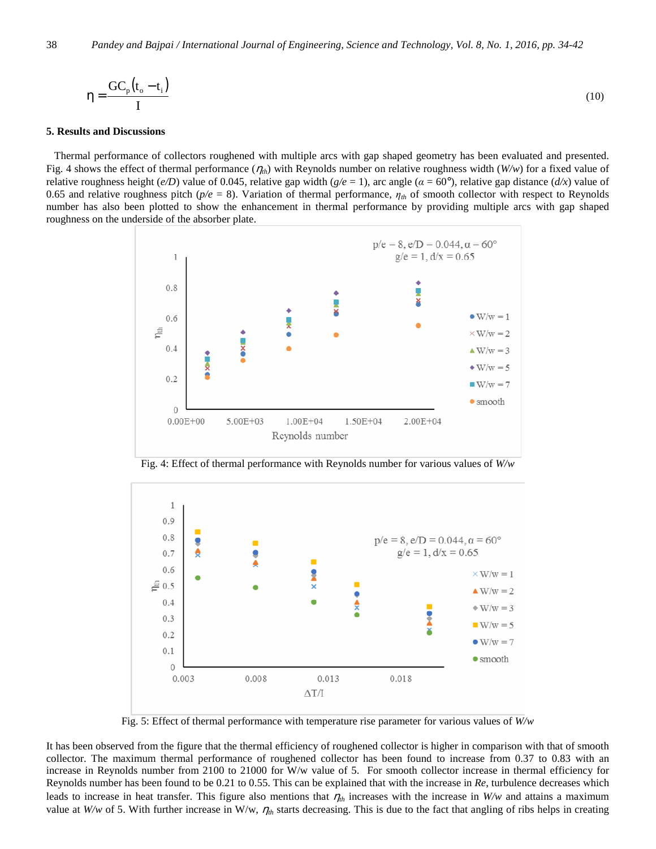$$
\eta = \frac{GC_{p}(t_{o} - t_{i})}{I}
$$
 (10)

#### **5. Results and Discussions**

 Thermal performance of collectors roughened with multiple arcs with gap shaped geometry has been evaluated and presented. Fig. 4 shows the effect of thermal performance  $(\eta_{th})$  with Reynolds number on relative roughness width  $(W/w)$  for a fixed value of relative roughness height (*e/D*) value of 0.045, relative gap width (*g/e* = 1), arc angle (*α* = 60°), relative gap distance (*d/x*) value of 0.65 and relative roughness pitch (*p/e* = 8). Variation of thermal performance, *ηth* of smooth collector with respect to Reynolds number has also been plotted to show the enhancement in thermal performance by providing multiple arcs with gap shaped roughness on the underside of the absorber plate.



Fig. 4: Effect of thermal performance with Reynolds number for various values of *W/w* 



Fig. 5: Effect of thermal performance with temperature rise parameter for various values of *W/w* 

It has been observed from the figure that the thermal efficiency of roughened collector is higher in comparison with that of smooth collector. The maximum thermal performance of roughened collector has been found to increase from 0.37 to 0.83 with an increase in Reynolds number from 2100 to 21000 for W/w value of 5. For smooth collector increase in thermal efficiency for Reynolds number has been found to be 0.21 to 0.55. This can be explained that with the increase in *Re*, turbulence decreases which leads to increase in heat transfer. This figure also mentions that  $\eta_{th}$  increases with the increase in *W/w* and attains a maximum value at *W/w* of 5. With further increase in W/w,  $\eta_{th}$  starts decreasing. This is due to the fact that angling of ribs helps in creating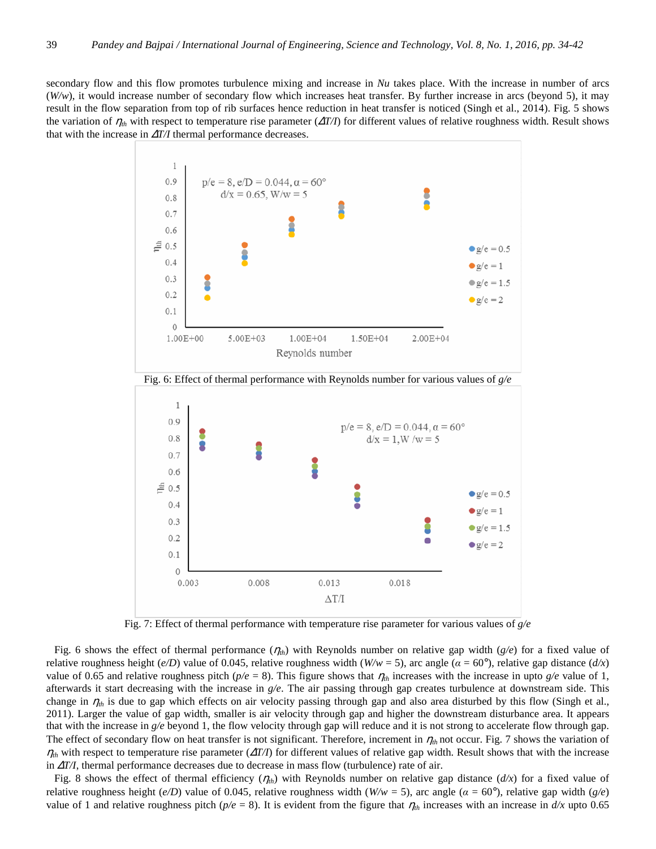secondary flow and this flow promotes turbulence mixing and increase in *Nu* takes place. With the increase in number of arcs (*W/w*), it would increase number of secondary flow which increases heat transfer. By further increase in arcs (beyond 5), it may result in the flow separation from top of rib surfaces hence reduction in heat transfer is noticed (Singh et al., 2014). Fig. 5 shows the variation of η*th* with respect to temperature rise parameter (∆*T/I*) for different values of relative roughness width. Result shows that with the increase in ∆*T/I* thermal performance decreases.



Fig. 7: Effect of thermal performance with temperature rise parameter for various values of *g/e* 

 Fig. 6 shows the effect of thermal performance (η*th*) with Reynolds number on relative gap width (*g/e*) for a fixed value of relative roughness height (*e/D*) value of 0.045, relative roughness width ( $W/w = 5$ ), arc angle ( $\alpha = 60^{\circ}$ ), relative gap distance ( $d/x$ ) value of 0.65 and relative roughness pitch ( $p/e = 8$ ). This figure shows that  $\eta_{th}$  increases with the increase in upto  $g/e$  value of 1, afterwards it start decreasing with the increase in *g/e*. The air passing through gap creates turbulence at downstream side. This change in  $\eta_{th}$  is due to gap which effects on air velocity passing through gap and also area disturbed by this flow (Singh et al., 2011). Larger the value of gap width, smaller is air velocity through gap and higher the downstream disturbance area. It appears that with the increase in *g/e* beyond 1, the flow velocity through gap will reduce and it is not strong to accelerate flow through gap. The effect of secondary flow on heat transfer is not significant. Therefore, increment in  $\eta_{th}$  not occur. Fig. 7 shows the variation of  $\eta_{th}$  with respect to temperature rise parameter ( $\Delta T/I$ ) for different values of relative gap width. Result shows that with the increase in ∆*T/I*, thermal performance decreases due to decrease in mass flow (turbulence) rate of air.

Fig. 8 shows the effect of thermal efficiency  $(\eta_{th})$  with Reynolds number on relative gap distance  $(d/x)$  for a fixed value of relative roughness height (*e/D*) value of 0.045, relative roughness width (*W/w* = 5), arc angle (*α* = 60°), relative gap width (*g/e*) value of 1 and relative roughness pitch ( $p/e = 8$ ). It is evident from the figure that  $\eta_{th}$  increases with an increase in  $d/x$  upto 0.65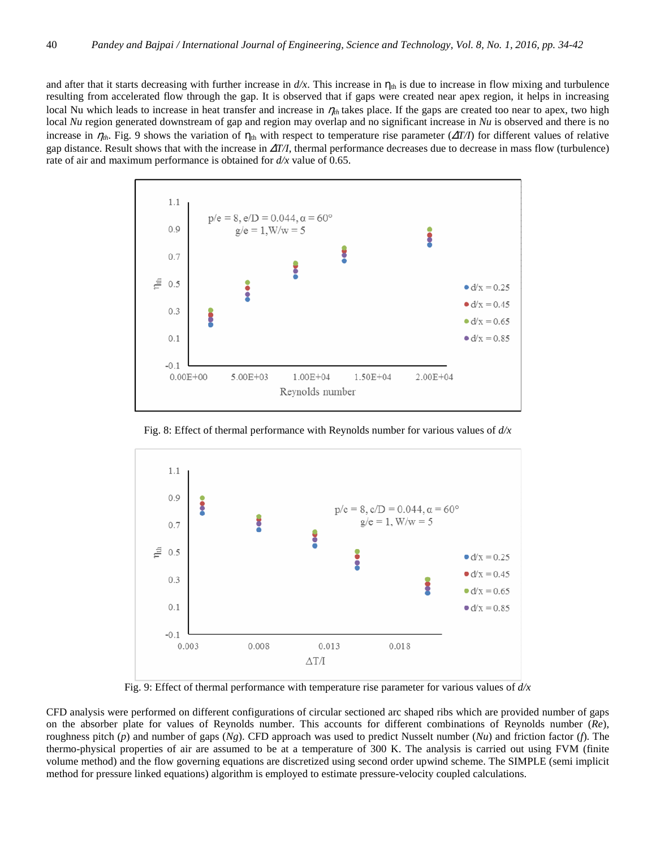and after that it starts decreasing with further increase in  $d/x$ . This increase in  $\eta_{th}$  is due to increase in flow mixing and turbulence resulting from accelerated flow through the gap. It is observed that if gaps were created near apex region, it helps in increasing local Nu which leads to increase in heat transfer and increase in η*th* takes place. If the gaps are created too near to apex, two high local *Nu* region generated downstream of gap and region may overlap and no significant increase in *Nu* is observed and there is no increase in  $\eta_{th}$ . Fig. 9 shows the variation of  $\eta_{th}$  with respect to temperature rise parameter ( $\Delta T/I$ ) for different values of relative gap distance. Result shows that with the increase in ∆*T/I*, thermal performance decreases due to decrease in mass flow (turbulence) rate of air and maximum performance is obtained for *d/x* value of 0.65.



Fig. 8: Effect of thermal performance with Reynolds number for various values of *d/x* 



Fig. 9: Effect of thermal performance with temperature rise parameter for various values of *d/x* 

CFD analysis were performed on different configurations of circular sectioned arc shaped ribs which are provided number of gaps on the absorber plate for values of Reynolds number. This accounts for different combinations of Reynolds number (*Re*), roughness pitch (*p*) and number of gaps (*Ng*). CFD approach was used to predict Nusselt number (*Nu*) and friction factor (*f*). The thermo-physical properties of air are assumed to be at a temperature of 300 K. The analysis is carried out using FVM (finite volume method) and the flow governing equations are discretized using second order upwind scheme. The SIMPLE (semi implicit method for pressure linked equations) algorithm is employed to estimate pressure-velocity coupled calculations.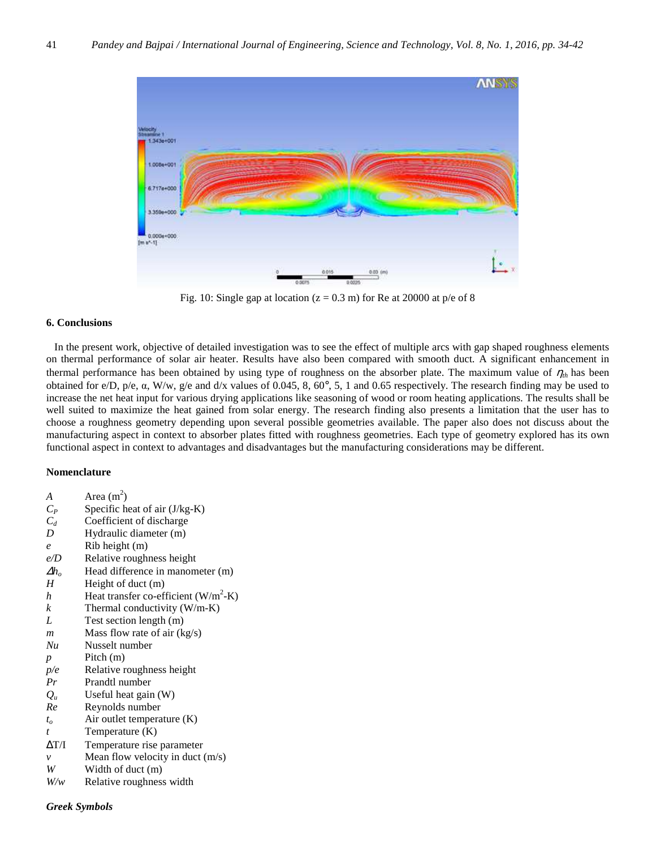

Fig. 10: Single gap at location ( $z = 0.3$  m) for Re at 20000 at p/e of 8

## **6. Conclusions**

 In the present work, objective of detailed investigation was to see the effect of multiple arcs with gap shaped roughness elements on thermal performance of solar air heater. Results have also been compared with smooth duct. A significant enhancement in thermal performance has been obtained by using type of roughness on the absorber plate. The maximum value of  $\eta_{th}$  has been obtained for e/D, p/e, α, W/w, g/e and d/x values of 0.045, 8, 60°, 5, 1 and 0.65 respectively. The research finding may be used to increase the net heat input for various drying applications like seasoning of wood or room heating applications. The results shall be well suited to maximize the heat gained from solar energy. The research finding also presents a limitation that the user has to choose a roughness geometry depending upon several possible geometries available. The paper also does not discuss about the manufacturing aspect in context to absorber plates fitted with roughness geometries. Each type of geometry explored has its own functional aspect in context to advantages and disadvantages but the manufacturing considerations may be different.

## **Nomenclature**

 $A$  Area (m<sup>2</sup>)  $C_P$  Specific heat of air (J/kg-K) *C<sup>d</sup>* Coefficient of discharge *D* Hydraulic diameter (m) *e* Rib height (m) *e/D* Relative roughness height  $\Delta h_o$  Head difference in manometer (m)<br>*H* Height of duct (m) Height of duct (m) *h* Heat transfer co-efficient  $(W/m^2-K)$ *k* Thermal conductivity  $(W/m-K)$ *L* Test section length (m) *m* Mass flow rate of air (kg/s) *Nu* Nusselt number *p* Pitch (m) *p/e* Relative roughness height *Pr* Prandtl number  $Q_u$  Useful heat gain (W) *Re* Reynolds number *to* Air outlet temperature (K) *t* Temperature (K) ∆T/I Temperature rise parameter *v* Mean flow velocity in duct  $(m/s)$ *W* Width of duct (m) *W/w* Relative roughness width